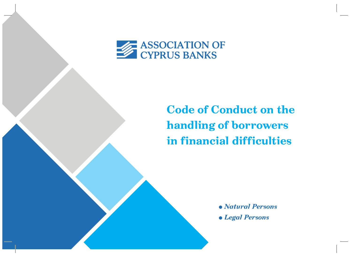

# **Code of Conduct on the handling of borrowers in financial difficulties**

<sup>l</sup>*Natural Persons*

<sup>l</sup>*Legal Persons*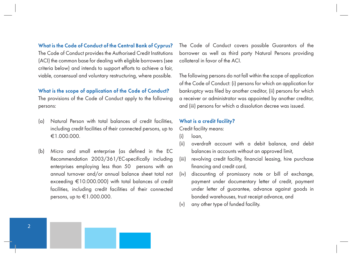## **What is the Code of Conduct of the Central Bank of Cyprus?**

The Code of Conduct provides the Authorised Credit Institutions (ACI) the common base for dealing with eligible borrowers (see criteria below) and intends to support efforts to achieve a fair, viable, consensual and voluntary restructuring, where possible.

#### **What is the scope of application of the Code of Conduct?**

The provisions of the Code of Conduct apply to the following persons:

- (a) Natural Person with total balances of credit facilities, including credit facilities of their connected persons, up to €1.000.000.
- (b) Micro and small enterprise (as defined in the EC Recommendation 2003/361/EC-specifically including enterprises employing less than 50 persons with an annual turnover and/or annual balance sheet total not exceeding €10.000.000) with total balances of credit facilities, including credit facilities of their connected persons, up to  $\text{\large\ensuremath{\in}} 1.000.000$ .

The Code of Conduct covers possible Guarantors of the borrower as well as third party Natural Persons providing collateral in favor of the ACI.

The following persons do not fall within the scope of application of the Code of Conduct: (i) persons for which an application for bankruptcy was filed by another creditor, (ii) persons for which a receiver or administrator was appointed by another creditor, and (iii) persons for which a dissolution decree was issued.

## **What is a credit facility?**

Credit facility means:

- (i) loan,
- (ii) overdraft account with a debit balance, and debit balances in accounts without an approved limit,
- (iii) revolving credit facility, financial leasing, hire purchase financing and credit card,
- (iv) discounting of promissory note or bill of exchange, payment under documentary letter of credit, payment under letter of guarantee, advance against goods in bonded warehouses, trust receipt advance, and
- (v) any other type of funded facility.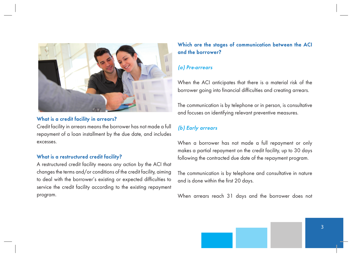

## **What is a credit facility in arrears?**

Credit facility in arrears means the borrower has not made a full repayment of a loan installment by the due date, and includes excesses.

## **What is a restructured credit facility?**

A restructured credit facility means any action by the ACI that changes the terms and/or conditions of the credit facility, aiming to deal with the borrower's existing or expected difficulties to service the credit facility according to the existing repayment program.

# **Which are the stages of communication between the ACI and the borrower?**

## *(a) Pre-arrears*

When the ACI anticipates that there is a material risk of the borrower going into financial difficulties and creating arrears.

The communication is by telephone or in person, is consultative and focuses on identifying relevant preventive measures.

# *(b) Early arrears*

When a borrower has not made a full repayment or only makes a partial repayment on the credit facility, up to 30 days following the contracted due date of the repayment program.

The communication is by telephone and consultative in nature and is done within the first 20 days.

When arrears reach 31 days and the borrower does not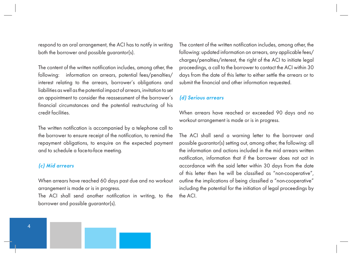respond to an oral arrangement, the ACI has to notify in writing both the borrower and possible guarantor(s).

The content of the written notification includes, among other, the following: information on arrears, potential fees/penalties/ interest relating to the arrears, borrower's obligations and liabilities as well as the potential impact of arrears, invitation to set an appointment to consider the reassessment of the borrower's financial circumstances and the potential restructuring of his credit facilities.

The written notification is accompanied by a telephone call to the borrower to ensure receipt of the notification, to remind the repayment obligations, to enquire on the expected payment and to schedule a face-to-face meeting.

## *(c) Mid arrears*

When arrears have reached 60 days past due and no workout arrangement is made or is in progress.

The ACI shall send another notification in writing, to the borrower and possible guarantor(s).

The content of the written notification includes, among other, the following: updated information on arrears, any applicable fees/ charges/penalties/interest, the right of the ACI to initiate legal proceedings, a call to the borrower to contact the ACI within 30 days from the date of this letter to either settle the arrears or to submit the financial and other information requested.

# *(d) Serious arrears*

When arrears have reached or exceeded 90 days and no workout arrangement is made or is in progress.

The ACI shall send a warning letter to the borrower and possible guarantor(s) setting out, among other, the following: all the information and actions included in the mid arrears written notification, information that if the borrower does not act in accordance with the said letter within 30 days from the date of this letter then he will be classified as "non-cooperative", outline the implications of being classified a "non-cooperative" including the potential for the initiation of legal proceedings by the ACI.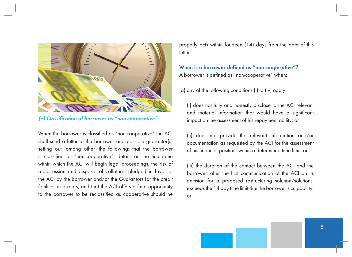

*(e) Classification of borrower as "non-cooperative"*

When the borrower is classified as "non-cooperative" the ACI shall send a letter to the borrower and possible guarantor(s) setting out, among other, the following: that the borrower is classified as "non-cooperative", details on the timeframe within which the ACI will begin legal proceedings, the risk of repossession and disposal of collateral pledged in favor of the ACI by the borrower and/or the Guarantors for the credit facilities in arrears, and that the ACI offers a final opportunity to the borrower to be reclassified as cooperative should he properly acts within fourteen (14) days from the date of this letter.

# **When is a borrower defined as "non-cooperative"?** A borrower is defined as "non-cooperative" when:

(a) any of the following conditions (i) to (iv) apply:

(i) does not fully and honestly disclose to the ACI relevant and material information that would have a significant impact on the assessment of his repayment ability; or

(ii) does not provide the relevant information and/or documentation as requested by the ACI for the assessment of his financial position, within a determined time limit; or

(iii) the duration of the contact between the ACI and the borrower, after the first communication of the ACI on its decision for a proposed restructuring solution/solutions, exceeds the 14 day time limit due the borrower's culpability; or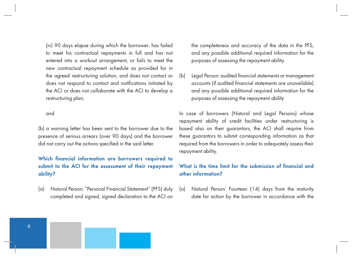(iv) 90 days elapse during which the borrower: has failed to meet his contractual repayments in full and has not entered into a workout arrangement, or fails to meet the new contractual repayment schedule as provided for in the agreed restructuring solution, and does not contact or does not respond to contact and notifications initiated by the ACI or does not collaborate with the ACI to develop a restructuring plan;

#### and

(b) a warning letter has been sent to the borrower due to the presence of serious arrears (over 90 days) and the borrower did not carry out the actions specified in the said letter.

# **Which financial information are borrowers required to submit to the ACI for the assessment of their repayment ability?**

(a) Natural Person: "Personal Financial Statement" (PFS) duly completed and signed, signed declaration to the ACI on the completeness and accuracy of the data in the PFS, and any possible additional required information for the purposes of assessing the repayment ability.

(b) Legal Person: audited financial statements or management accounts (if audited financial statements are unavailable) and any possible additional required information for the purposes of assessing the repayment ability

In case of borrowers (Natural and Legal Persons) whose repayment ability of credit facilities under restructuring is based also on their guarantors, the ACI shall require from these guarantors to submit corresponding information as that required from the borrowers in order to adequately assess their repayment ability.

# **What is the time limit for the submission of financial and other information?**

(a) Natural Person: Fourteen (14) days from the maturity date for action by the borrower in accordance with the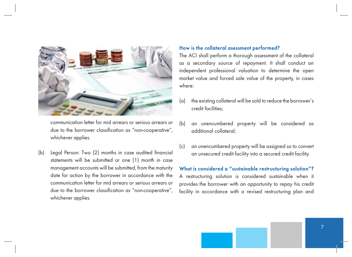

communication letter for mid arrears or serious arrears or due to the borrower classification as "non-cooperative", whichever applies.

(b) Legal Person: Two (2) months in case audited financial statements will be submitted or one (1) month in case management accounts will be submitted, from the maturity date for action by the borrower in accordance with the communication letter for mid arrears or serious arrears or due to the borrower classification as "non-cooperative", whichever applies.

## **How is the collateral asessment performed?**

The ACI shall perform a thorough assessment of the collateral as a secondary source of repayment. It shall conduct an independent professional valuation to determine the open market value and forced sale value of the property, in cases where:

- (a) the existing collateral will be sold to reduce the borrower's credit facilities;
- (b) an unencumbered property will be considered as additional collateral;
- (c) an unencumbered property will be assigned so to convert an unsecured credit facility into a secured credit facility.

## **What is considered a "sustainable restructuring solution"?**

A restructuring solution is considered sustainable when it provides the borrower with an opportunity to repay his credit facility in accordance with a revised restructuring plan and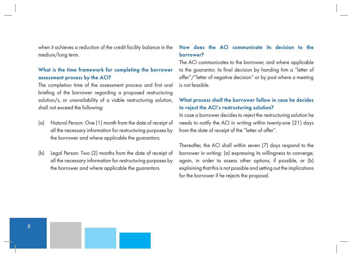when it achieves a reduction of the credit facility balance in the medium/long term.

## **What is the time framework for completing the borrower assessment process by the ACI?**

The completion time of the assessment process and first oral briefing of the borrower regarding a proposed restructuring solution/s, or unavailability of a viable restructuring solution, shall not exceed the following:

- (a) Natural Person: One (1) month from the date of receipt of all the necessary information for restructuring purposes by the borrower and where applicable the guarantors.
- (b) Legal Person: Two (2) months from the date of receipt of all the necessary information for restructuring purposes by the borrower and where applicable the guarantors.

## **How does the ACI communicate its decision to the borrower?**

The ACI communicates to the borrower, and where applicable to the guarantor, its final decision by handing him a "letter of offer"/"letter of negative decision" or by post where a meeting is not feasible.

# **What process shall the borrower follow in case he decides to reject the ACI's restructuring solution?**

In case a borrower decides to reject the restructuring solution he needs to notify the ACI in writing within twenty-one (21) days from the date of receipt of the "letter of offer".

Thereafter, the ACI shall within seven (7) days respond to the borrower in writing: (a) expressing its willingness to converge, again, in order to assess other options, if possible, or (b) explaining that this is not possible and setting out the implications for the borrower if he rejects the proposal.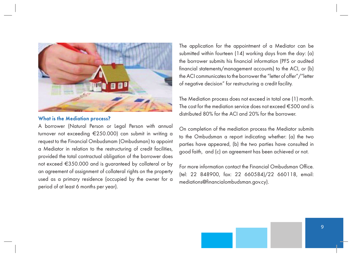

## **What is the Mediation process?**

A borrower (Natural Person or Legal Person with annual turnover not exceeding €250.000) can submit in writing a request to the Financial Ombudsmam (Ombudsman) to appoint a Mediator in relation to the restructuring of credit facilities, provided the total contractual obligation of the borrower does not exceed €350.000 and is guaranteed by collateral or by an agreement of assignment of collateral rights on the property used as a primary residence (occupied by the owner for a period of at least 6 months per year).

The application for the appointment of a Mediator can be submitted within fourteen (14) working days from the day: (a) the borrower submits his financial information (PFS or audited financial statements/management accounts) to the ACI, or (b) the ACI communicates to the borrower the "letter of offer"/"letter of negative decision" for restructuring a credit facility.

The Mediation process does not exceed in total one (1) month. The cost for the mediation service does not exceed  $\epsilon$ 500 and is distributed 80% for the ACI and 20% for the borrower.

On completion of the mediation process the Mediator submits to the Ombudsman a report indicating whether: (a) the two parties have appeared, (b) the two parties have consulted in good faith, and (c) an agreement has been achieved or not.

For more information contact the Financial Ombudsman Office. (tel: 22 848900, fax: 22 660584)/22 660118, email: mediations@financialombudsman.gov.cy).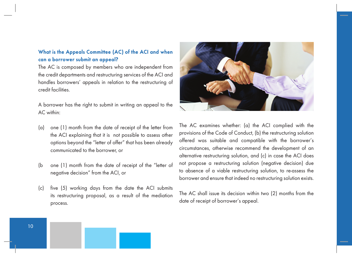# **What is the Appeals Committee (AC) of the ACI and when can a borrower submit an appeal?**

The AC is composed by members who are independent from the credit departments and restructuring services of the ACI and handles borrowers' appeals in relation to the restructuring of credit facilities.

A borrower has the right to submit in writing an appeal to the AC within:

- (a) one (1) month from the date of receipt of the letter from the ACI explaining that it is not possible to assess other options beyond the "letter of offer" that has been already communicated to the borrower, or
- (b one (1) month from the date of receipt of the "letter of negative decision" from the ACI, or
- (c) five (5) working days from the date the ACI submits its restructuring proposal, as a result of the mediation process.



The AC examines whether: (a) the ACI complied with the provisions of the Code of Conduct, (b) the restructuring solution offered was suitable and compatible with the borrower's circumstances, otherwise recommend the development of an alternative restructuring solution, and (c) in case the ACI does not propose a restructuring solution (negative decision) due to absence of a viable restructuring solution, to re-assess the borrower and ensure that indeed no restructuring solution exists.

The AC shall issue its decision within two (2) months from the date of receipt of borrower's appeal.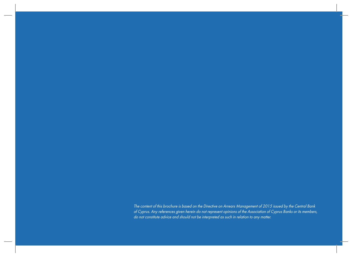The content of this brochure is based on the Directive on Arrears Management of 2015 issued by the Central Bank of Cyprus. Any references given herein do not represent opinions of the Association of Cyprus Banks or its members, do not constitute advice and should not be interpreted as such in relation to any matter.